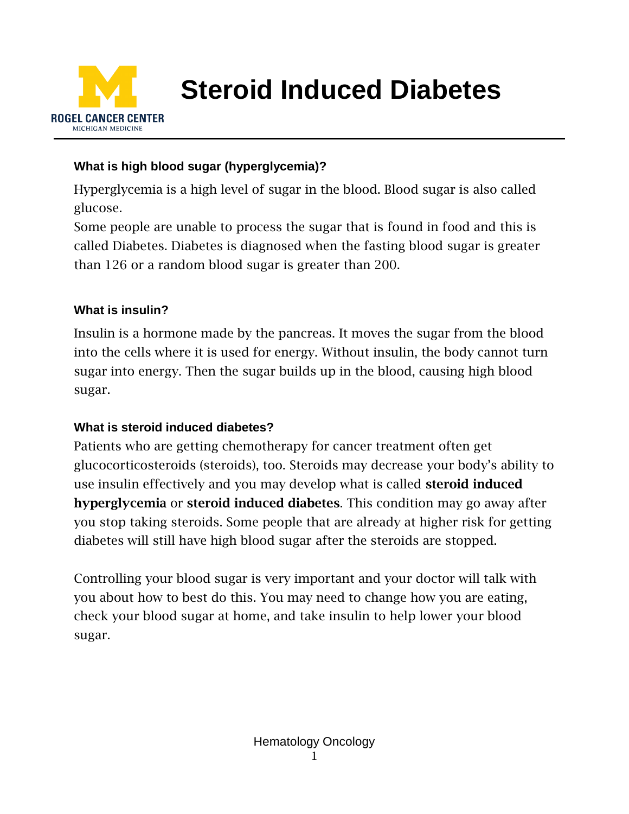

**Steroid Induced Diabetes**

### **What is high blood sugar (hyperglycemia)?**

Hyperglycemia is a high level of sugar in the blood. Blood sugar is also called glucose.

Some people are unable to process the sugar that is found in food and this is called Diabetes. Diabetes is diagnosed when the fasting blood sugar is greater than 126 or a random blood sugar is greater than 200.

#### **What is insulin?**

Insulin is a hormone made by the pancreas. It moves the sugar from the blood into the cells where it is used for energy. Without insulin, the body cannot turn sugar into energy. Then the sugar builds up in the blood, causing high blood sugar.

### **What is steroid induced diabetes?**

Patients who are getting chemotherapy for cancer treatment often get glucocorticosteroids (steroids), too. Steroids may decrease your body's ability to use insulin effectively and you may develop what is called steroid induced hyperglycemia or steroid induced diabetes. This condition may go away after you stop taking steroids. Some people that are already at higher risk for getting diabetes will still have high blood sugar after the steroids are stopped.

Controlling your blood sugar is very important and your doctor will talk with you about how to best do this. You may need to change how you are eating, check your blood sugar at home, and take insulin to help lower your blood sugar.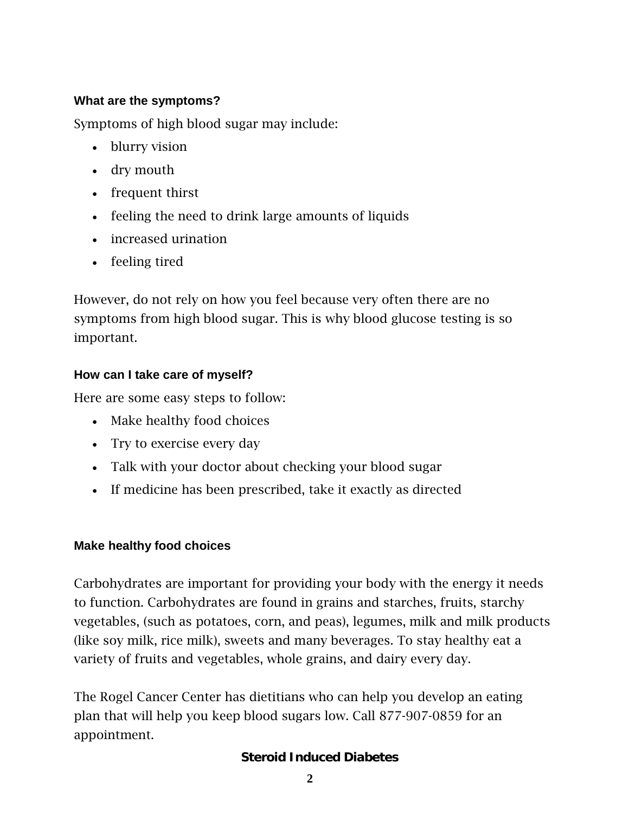#### **What are the symptoms?**

Symptoms of high blood sugar may include:

- blurry vision
- dry mouth
- frequent thirst
- feeling the need to drink large amounts of liquids
- increased urination
- feeling tired

However, do not rely on how you feel because very often there are no symptoms from high blood sugar. This is why blood glucose testing is so important.

### **How can I take care of myself?**

Here are some easy steps to follow:

- Make healthy food choices
- Try to exercise every day
- Talk with your doctor about checking your blood sugar
- If medicine has been prescribed, take it exactly as directed

#### **Make healthy food choices**

Carbohydrates are important for providing your body with the energy it needs to function. Carbohydrates are found in grains and starches, fruits, starchy vegetables, (such as potatoes, corn, and peas), legumes, milk and milk products (like soy milk, rice milk), sweets and many beverages. To stay healthy eat a variety of fruits and vegetables, whole grains, and dairy every day.

The Rogel Cancer Center has dietitians who can help you develop an eating plan that will help you keep blood sugars low. Call 877-907-0859 for an appointment.

### **Steroid Induced Diabetes**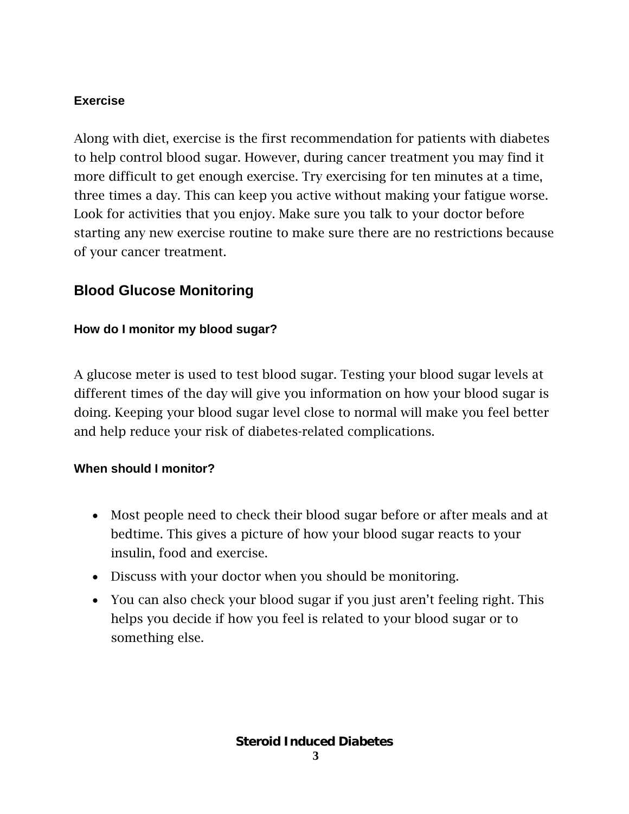### **Exercise**

Along with diet, exercise is the first recommendation for patients with diabetes to help control blood sugar. However, during cancer treatment you may find it more difficult to get enough exercise. Try exercising for ten minutes at a time, three times a day. This can keep you active without making your fatigue worse. Look for activities that you enjoy. Make sure you talk to your doctor before starting any new exercise routine to make sure there are no restrictions because of your cancer treatment.

# **Blood Glucose Monitoring**

### **How do I monitor my blood sugar?**

A glucose meter is used to test blood sugar. Testing your blood sugar levels at different times of the day will give you information on how your blood sugar is doing. Keeping your blood sugar level close to normal will make you feel better and help reduce your risk of diabetes-related complications.

### **When should I monitor?**

- Most people need to check their blood sugar before or after meals and at bedtime. This gives a picture of how your blood sugar reacts to your insulin, food and exercise.
- Discuss with your doctor when you should be monitoring.
- You can also check your blood sugar if you just aren't feeling right. This helps you decide if how you feel is related to your blood sugar or to something else.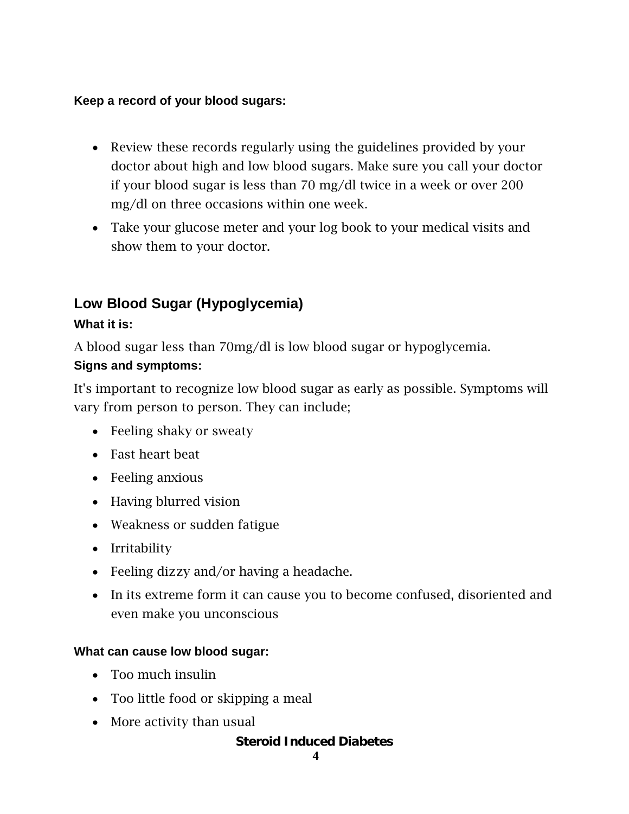### **Keep a record of your blood sugars:**

- Review these records regularly using the guidelines provided by your doctor about high and low blood sugars. Make sure you call your doctor if your blood sugar is less than 70 mg/dl twice in a week or over 200 mg/dl on three occasions within one week.
- Take your glucose meter and your log book to your medical visits and show them to your doctor.

# **Low Blood Sugar (Hypoglycemia)**

## **What it is:**

A blood sugar less than 70mg/dl is low blood sugar or hypoglycemia.

### **Signs and symptoms:**

It's important to recognize low blood sugar as early as possible. Symptoms will vary from person to person. They can include;

- Feeling shaky or sweaty
- Fast heart beat
- Feeling anxious
- Having blurred vision
- Weakness or sudden fatigue
- Irritability
- Feeling dizzy and/or having a headache.
- In its extreme form it can cause you to become confused, disoriented and even make you unconscious

### **What can cause low blood sugar:**

- Too much insulin
- Too little food or skipping a meal
- More activity than usual

### **Steroid Induced Diabetes**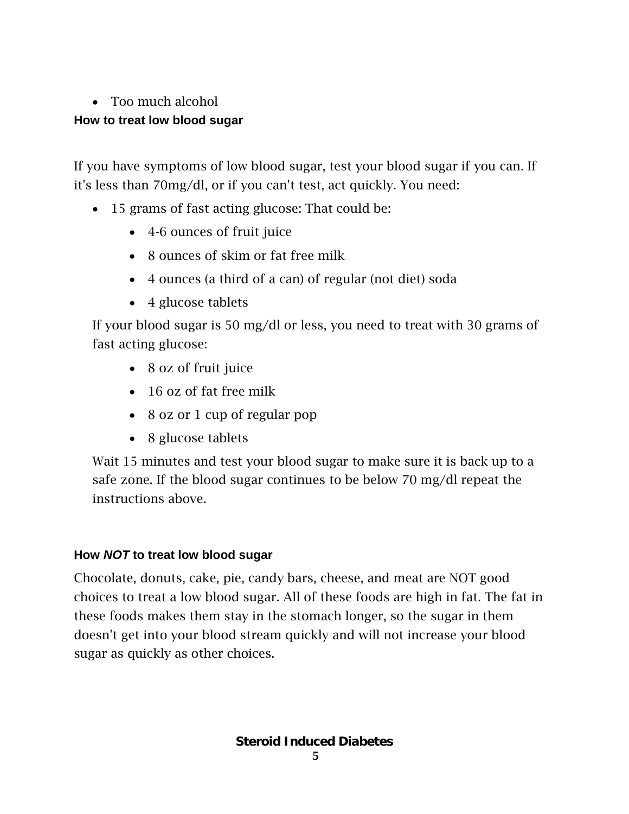### • Too much alcohol

## **How to treat low blood sugar**

If you have symptoms of low blood sugar, test your blood sugar if you can. If it's less than 70mg/dl, or if you can't test, act quickly. You need:

- 15 grams of fast acting glucose: That could be:
	- 4-6 ounces of fruit juice
	- 8 ounces of skim or fat free milk
	- 4 ounces (a third of a can) of regular (not diet) soda
	- 4 glucose tablets

If your blood sugar is 50 mg/dl or less, you need to treat with 30 grams of fast acting glucose:

- 8 oz of fruit juice
- 16 oz of fat free milk
- 8 oz or 1 cup of regular pop
- 8 glucose tablets

Wait 15 minutes and test your blood sugar to make sure it is back up to a safe zone. If the blood sugar continues to be below 70 mg/dl repeat the instructions above.

# **How** *NOT* **to treat low blood sugar**

Chocolate, donuts, cake, pie, candy bars, cheese, and meat are NOT good choices to treat a low blood sugar. All of these foods are high in fat. The fat in these foods makes them stay in the stomach longer, so the sugar in them doesn't get into your blood stream quickly and will not increase your blood sugar as quickly as other choices.